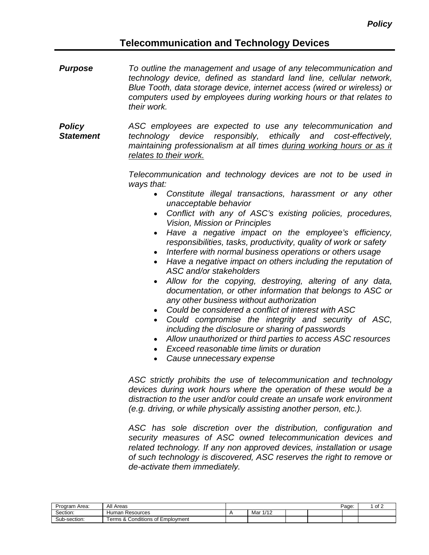# **Telecommunication and Technology Devices**

*Purpose To outline the management and usage of any telecommunication and technology device, defined as standard land line, cellular network, Blue Tooth, data storage device, internet access (wired or wireless) or computers used by employees during working hours or that relates to their work.*

*Policy Statement ASC employees are expected to use any telecommunication and technology device responsibly, ethically and cost-effectively, maintaining professionalism at all times during working hours or as it relates to their work.*

> *Telecommunication and technology devices are not to be used in ways that:*

- *Constitute illegal transactions, harassment or any other unacceptable behavior*
- *Conflict with any of ASC's existing policies, procedures, Vision, Mission or Principles*
- *Have a negative impact on the employee's efficiency, responsibilities, tasks, productivity, quality of work or safety*
- *Interfere with normal business operations or others usage*
- *Have a negative impact on others including the reputation of ASC and/or stakeholders*
- *Allow for the copying, destroying, altering of any data, documentation, or other information that belongs to ASC or any other business without authorization*
- *Could be considered a conflict of interest with ASC*
- *Could compromise the integrity and security of ASC, including the disclosure or sharing of passwords*
- *Allow unauthorized or third parties to access ASC resources*
- *Exceed reasonable time limits or duration*
- *Cause unnecessary expense*

*ASC strictly prohibits the use of telecommunication and technology devices during work hours where the operation of these would be a distraction to the user and/or could create an unsafe work environment (e.g. driving, or while physically assisting another person, etc.).*

*ASC has sole discretion over the distribution, configuration and security measures of ASC owned telecommunication devices and related technology. If any non approved devices, installation or usage of such technology is discovered, ASC reserves the right to remove or de-activate them immediately.*

| Program Area:     | All Areas                                |                       |  | Page: | of 2 |
|-------------------|------------------------------------------|-----------------------|--|-------|------|
| Section:          | Human<br>ı Resources                     | 4140<br>Mar<br>17 I Z |  |       |      |
| Sub<br>:h-section | Conditions of<br>Employment<br>rerms & f |                       |  |       |      |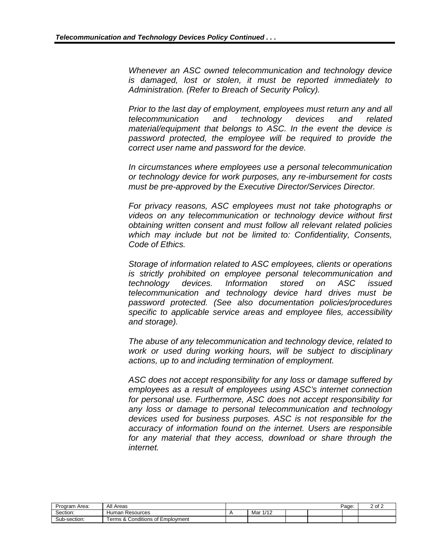*Whenever an ASC owned telecommunication and technology device is damaged, lost or stolen, it must be reported immediately to Administration. (Refer to Breach of Security Policy).*

*Prior to the last day of employment, employees must return any and all telecommunication and technology devices and related material/equipment that belongs to ASC. In the event the device is password protected, the employee will be required to provide the correct user name and password for the device.* 

*In circumstances where employees use a personal telecommunication or technology device for work purposes, any re-imbursement for costs must be pre-approved by the Executive Director/Services Director.*

*For privacy reasons, ASC employees must not take photographs or videos on any telecommunication or technology device without first obtaining written consent and must follow all relevant related policies which may include but not be limited to: Confidentiality, Consents, Code of Ethics.*

*Storage of information related to ASC employees, clients or operations is strictly prohibited on employee personal telecommunication and technology devices. Information stored on ASC issued telecommunication and technology device hard drives must be password protected. (See also documentation policies/procedures specific to applicable service areas and employee files, accessibility and storage).*

*The abuse of any telecommunication and technology device, related to work or used during working hours, will be subject to disciplinary actions, up to and including termination of employment.*

*ASC does not accept responsibility for any loss or damage suffered by employees as a result of employees using ASC's internet connection for personal use. Furthermore, ASC does not accept responsibility for any loss or damage to personal telecommunication and technology devices used for business purposes. ASC is not responsible for the accuracy of information found on the internet. Users are responsible for any material that they access, download or share through the internet.*

| Program Area: | All Areas                                     |                       |  | Page: | 2 of 2 |
|---------------|-----------------------------------------------|-----------------------|--|-------|--------|
| Section:      | Human Resources                               | Mar<br>1/40<br>17 I Z |  |       |        |
| Sub-section:  | .ತ & Conditions of F<br>Employment<br>⊺erms & |                       |  |       |        |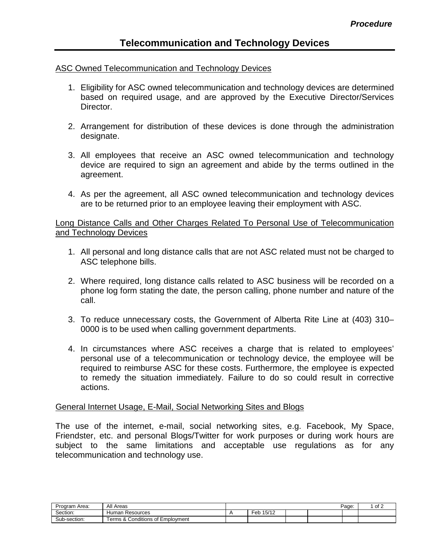## ASC Owned Telecommunication and Technology Devices

- 1. Eligibility for ASC owned telecommunication and technology devices are determined based on required usage, and are approved by the Executive Director/Services Director.
- 2. Arrangement for distribution of these devices is done through the administration designate.
- 3. All employees that receive an ASC owned telecommunication and technology device are required to sign an agreement and abide by the terms outlined in the agreement.
- 4. As per the agreement, all ASC owned telecommunication and technology devices are to be returned prior to an employee leaving their employment with ASC.

## Long Distance Calls and Other Charges Related To Personal Use of Telecommunication and Technology Devices

- 1. All personal and long distance calls that are not ASC related must not be charged to ASC telephone bills.
- 2. Where required, long distance calls related to ASC business will be recorded on a phone log form stating the date, the person calling, phone number and nature of the call.
- 3. To reduce unnecessary costs, the Government of Alberta Rite Line at (403) 310– 0000 is to be used when calling government departments.
- 4. In circumstances where ASC receives a charge that is related to employees' personal use of a telecommunication or technology device, the employee will be required to reimburse ASC for these costs. Furthermore, the employee is expected to remedy the situation immediately. Failure to do so could result in corrective actions.

# General Internet Usage, E-Mail, Social Networking Sites and Blogs

The use of the internet, e-mail, social networking sites, e.g. Facebook, My Space, Friendster, etc. and personal Blogs/Twitter for work purposes or during work hours are subject to the same limitations and acceptable use regulations as for any telecommunication and technology use.

| Program Area: | All Areas                                                      |                           |  | Page: | of 2 |
|---------------|----------------------------------------------------------------|---------------------------|--|-------|------|
| Section:      | Resources<br>Human                                             | $1 - 110$<br>Feb<br>15/12 |  |       |      |
| Sub-section:  | $\cdots$<br>$\Omega$<br>Conditions<br>erms &<br>⊧of Emplovment |                           |  |       |      |